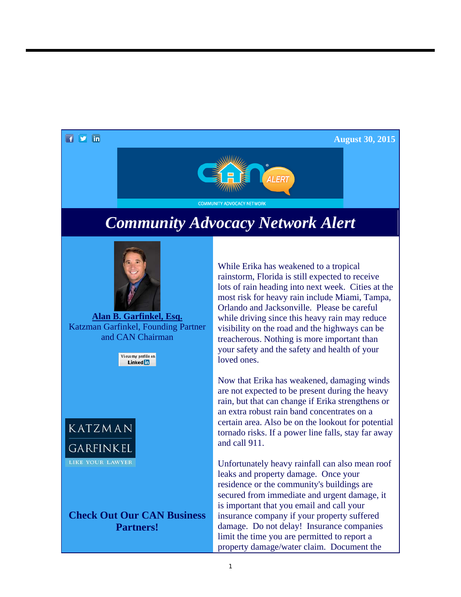

**August 30, 2015**



## *Community Advocacy Network Alert*



**Alan B. Garfinkel, Esq.** Katzman Garfinkel, Founding Partner and CAN Chairman

> View my profile on Linked in



**Check Out Our CAN Business Partners!**

While Erika has weakened to a tropical rainstorm, Florida is still expected to receive lots of rain heading into next week. Cities at the most risk for heavy rain include Miami, Tampa, Orlando and Jacksonville. Please be careful while driving since this heavy rain may reduce visibility on the road and the highways can be treacherous. Nothing is more important than your safety and the safety and health of your loved ones.

Now that Erika has weakened, damaging winds are not expected to be present during the heavy rain, but that can change if Erika strengthens or an extra robust rain band concentrates on a certain area. Also be on the lookout for potential tornado risks. If a power line falls, stay far away and call 911.

Unfortunately heavy rainfall can also mean roof leaks and property damage. Once your residence or the community's buildings are secured from immediate and urgent damage, it is important that you email and call your insurance company if your property suffered damage. Do not delay! Insurance companies limit the time you are permitted to report a property damage/water claim. Document the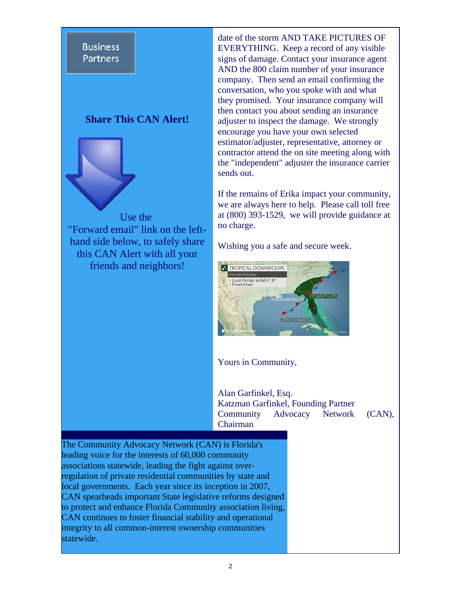## **Business Partners**

## **Share This CAN Alert!**



date of the storm AND TAKE PICTURES OF EVERYTHING. Keep a record of any visible signs of damage. Contact your insurance agent AND the 800 claim number of your insurance company. Then send an email confirming the conversation, who you spoke with and what they promised. Your insurance company will then contact you about sending an insurance adjuster to inspect the damage. We strongly encourage you have your own selected estimator/adjuster, representative, attorney or contractor attend the on site meeting along with the "independent" adjuster the insurance carrier sends out.

If the remains of Erika impact your community, we are always here to help. Please call toll free at (800) 393-1529, we will provide guidance at no charge.

Wishing you a safe and secure week.



Yours in Community,

Alan Garfinkel, Esq. Katzman Garfinkel, Founding Partner Community Advocacy Network (CAN), Chairman

The Community Advocacy Network (CAN) is Florida's leading voice for the interests of 60,000 community associations statewide, leading the fight against overregulation of private residential communities by state and local governments. Each year since its inception in 2007, CAN spearheads important State legislative reforms designed to protect and enhance Florida Community association living, CAN continues to foster financial stability and operational integrity to all common-interest ownership communities statewide.